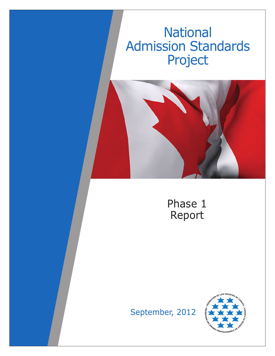# **National** Admission Standards Project





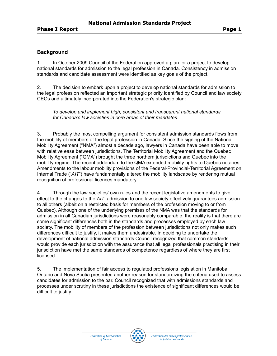## **Background**

1. In October 2009 Council of the Federation approved a plan for a project to develop national standards for admission to the legal profession in Canada. Consistency in admission standards and candidate assessment were identified as key goals of the project.

2. The decision to embark upon a project to develop national standards for admission to the legal profession reflected an important strategic priority identified by Council and law society CEOs and ultimately incorporated into the Federation's strategic plan:

*To develop and implement high, consistent and transparent national standards for Canada's law societies in core areas of their mandates.*

3. Probably the most compelling argument for consistent admission standards flows from the mobility of members of the legal profession in Canada. Since the signing of the National Mobility Agreement ("NMA") almost a decade ago, lawyers in Canada have been able to move with relative ease between jurisdictions. The Territorial Mobility Agreement and the Quebec Mobility Agreement ("QMA") brought the three northern jurisdictions and Quebec into the mobility regime. The recent addendum to the QMA extended mobility rights to Quebec notaries. Amendments to the labour mobility provisions of the Federal-Provincial-Territorial Agreement on Internal Trade ("*AIT*") have fundamentally altered the mobility landscape by rendering mutual recognition of professional licences mandatory.

4. Through the law societies' own rules and the recent legislative amendments to give effect to the changes to the *AIT*, admission to one law society effectively guarantees admission to all others (albeit on a restricted basis for members of the profession moving to or from Quebec). Although one of the underlying premises of the NMA was that the standards for admission in all Canadian jurisdictions were reasonably comparable, the reality is that there are some significant differences both in the standards and processes employed by each law society. The mobility of members of the profession between jurisdictions not only makes such differences difficult to justify, it makes them undesirable. In deciding to undertake the development of national admission standards Council recognized that common standards would provide each jurisdiction with the assurance that all legal professionals practising in their jurisdiction have met the same standards of competence regardless of where they are first licensed.

5. The implementation of fair access to regulated professions legislation in Manitoba, Ontario and Nova Scotia presented another reason for standardizing the criteria used to assess candidates for admission to the bar. Council recognized that with admissions standards and processes under scrutiny in these jurisdictions the existence of significant differences would be difficult to justify.

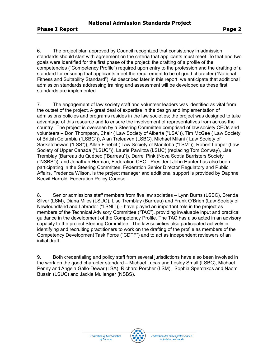6. The project plan approved by Council recognized that consistency in admission standards should start with agreement on the criteria that applicants must meet. To that end two goals were identified for the first phase of the project: the drafting of a profile of the competencies ("Competency Profile") required upon entry to the profession and the drafting of a standard for ensuring that applicants meet the requirement to be of good character ("National Fitness and Suitability Standard"). As described later in this report, we anticipate that additional admission standards addressing training and assessment will be developed as these first standards are implemented.

7. The engagement of law society staff and volunteer leaders was identified as vital from the outset of the project. A great deal of expertise in the design and implementation of admissions policies and programs resides in the law societies; the project was designed to take advantage of this resource and to ensure the involvement of representatives from across the country. The project is overseen by a Steering Committee comprised of law society CEOs and volunteers – Don Thompson, Chair ( Law Society of Alberta ("LSA")), Tim McGee ( Law Society of British Columbia ("LSBC")), Alan Treleaven (LSBC), Michael Milani ( Law Society of Saskatchewan ("LSS")), Allan Fineblit ( Law Society of Manitoba ("LSM")), Robert Lapper (Law Society of Upper Canada ("LSUC")), Laurie Pawlitza (LSUC) (replacing Tom Conway), Lise Tremblay (Barreau du Québec ("Barreau")), Darrel Pink (Nova Scotia Barristers Society ("NSBS")), and Jonathan Herman, Federation CEO. President John Hunter has also been participating in the Steering Committee. Federation Senior Director Regulatory and Public Affairs, Frederica Wilson, is the project manager and additional support is provided by Daphne Keevil Harrold, Federation Policy Counsel.

8. Senior admissions staff members from five law societies – Lynn Burns (LSBC), Brenda Silver (LSM), Diana Miles (LSUC), Lise Tremblay (Barreau) and Frank O'Brien (Law Society of Newfoundland and Labrador ("LSNL")) - have played an important role in the project as members of the Technical Advisory Committee ("TAC"), providing invaluable input and practical guidance in the development of the Competency Profile. The TAC has also acted in an advisory capacity to the project Steering Committee. The law societies also participated actively in identifying and recruiting practitioners to work on the drafting of the profile as members of the Competency Development Task Force ("CDTF") and to act as independent reviewers of an initial draft.

9. Both credentialing and policy staff from several jurisdictions have also been involved in the work on the good character standard – Michael Lucas and Lesley Small (LSBC), Michael Penny and Angela Gallo-Dewar (LSA), Richard Porcher (LSM), Sophia Sperdakos and Naomi Bussin (LSUC) and Jackie Mullenger (NSBS).

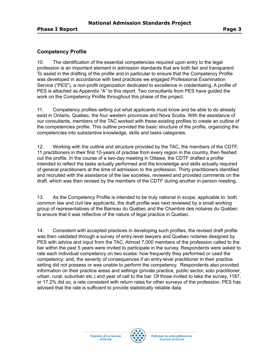## **Competency Profile**

10. The identification of the essential competencies required upon entry to the legal profession is an important element in admission standards that are both fair and transparent. To assist in the drafting of the profile and in particular to ensure that the Competency Profile was developed in accordance with best practices we engaged Professional Examination Service ("PES"), a non-profit organization dedicated to excellence in credentialing. A profile of PES is attached as Appendix "A" to this report. Two consultants from PES have guided the work on the Competency Profile throughout this phase of the project.

11. Competency profiles setting out what applicants must know and be able to do already exist in Ontario, Quebec, the four western provinces and Nova Scotia. With the assistance of our consultants, members of the TAC worked with these existing profiles to create an outline of the competencies profile. This outline provided the basic structure of the profile, organizing the competencies into substantive knowledge, skills and tasks categories.

12. Working with the outline and structure provided by the TAC, the members of the CDTF, 11 practitioners in their first 10-years of practise from every region in the country, then fleshed out the profile. In the course of a two-day meeting in Ottawa, the CDTF drafted a profile intended to reflect the tasks actually performed and the knowledge and skills actually required of general practitioners at the time of admission to the profession. Thirty practitioners identified and recruited with the assistance of the law societies, reviewed and provided comments on the draft, which was then revised by the members of the CDTF during another in-person meeting.

13. As the Competency Profile is intended to be truly national in scope, applicable to both common law and civil law applicants, the draft profile was next reviewed by a small working group of representatives of the Barreau du Québec and the Chambre des notaires du Québec to ensure that it was reflective of the nature of legal practice in Quebec.

14. Consistent with accepted practices in developing such profiles, the revised draft profile was then validated through a survey of entry-level lawyers and Quebec notaries designed by PES with advice and input from the TAC. Almost 7,000 members of the profession called to the bar within the past 5 years were invited to participate in the survey. Respondents were asked to rate each individual competency on two scales: how frequently they performed or used the competency; and, the severity of consequences if an entry-level practitioner in their practice setting did not possess or was unable to perform the competency. Respondents also provided information on their practice areas and settings (private practice, public sector, solo practitioner, urban, rural, suburban etc.) and year of call to the bar. Of those invited to take the survey, 1187, or 17.2% did so, a rate consistent with return rates for other surveys of the profession. PES has advised that the rate is sufficient to provide statistically reliable data.

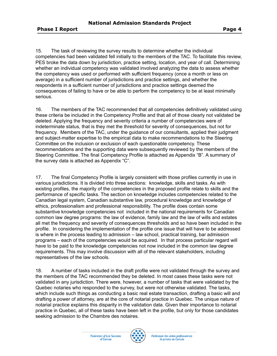15. The task of reviewing the survey results to determine whether the individual competencies had been validated fell initially to the members of the TAC. To facilitate this review, PES broke the data down by jurisdiction, practice setting, location, and year of call. Determining whether an individual competency was validated involved analyzing the data to assess whether the competency was used or performed with sufficient frequency (once a month or less on average) in a sufficient number of jurisdictions and practice settings, and whether the respondents in a sufficient number of jurisdictions and practice settings deemed the consequences of failing to have or be able to perform the competency to be at least minimally serious.

16. The members of the TAC recommended that all competencies definitively validated using these criteria be included in the Competency Profile and that all of those clearly not validated be deleted. Applying the frequency and severity criteria a number of competencies were of indeterminate status, that is they met the threshold for severity of consequences, but not for frequency. Members of the TAC, under the guidance of our consultants, applied their judgment and subject-matter expertise to the empirical data to make recommendations to the Steering Committee on the inclusion or exclusion of each questionable competency. These recommendations and the supporting data were subsequently reviewed by the members of the Steering Committee. The final Competency Profile is attached as Appendix "B". A summary of the survey data is attached as Appendix "C".

17. The final Competency Profile is largely consistent with those profiles currently in use in various jurisdictions. It is divided into three sections: knowledge, skills and tasks. As with existing profiles, the majority of the competencies in the proposed profile relate to skills and the performance of specific tasks. The section on knowledge includes competencies related to the Canadian legal system, Canadian substantive law, procedural knowledge and knowledge of ethics, professionalism and professional responsibility. The profile does contain some substantive knowledge competencies not included in the national requirements for Canadian common law degree programs: the law of evidence, family law and the law of wills and estates all met the frequency and severity of consequences thresholds and so have been included in the profile. In considering the implementation of the profile one issue that will have to be addressed is where in the process leading to admission – law school, practical training, bar admission programs – each of the competencies would be acquired. In that process particular regard will have to be paid to the knowledge competencies not now included in the common law degree requirements. This may involve discussion with all of the relevant stakeholders, including representatives of the law schools.

18. A number of tasks included in the draft profile were not validated through the survey and the members of the TAC recommended they be deleted. In most cases these tasks were not validated in any jurisdiction. There were, however, a number of tasks that were validated by the Quebec notaries who responded to the survey, but were not otherwise validated. The tasks, which include such things as conducting a basic real estate transaction, drafting a basic will and drafting a power of attorney, are at the core of notarial practice in Quebec. The unique nature of notarial practice explains this disparity in the validation data. Given their importance to notarial practice in Quebec, all of these tasks have been left in the profile, but only for those candidates seeking admission to the Chambre des notaires.

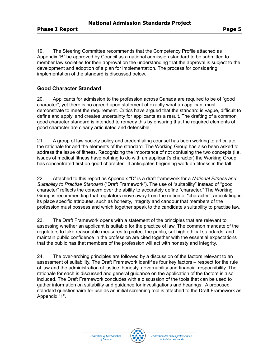19. The Steering Committee recommends that the Competency Profile attached as Appendix "B" be approved by Council as a national admission standard to be submitted to member law societies for their approval on the understanding that the approval is subject to the development and adoption of a plan for implementation. The process for considering implementation of the standard is discussed below.

## **Good Character Standard**

20. Applicants for admission to the profession across Canada are required to be of "good character", yet there is no agreed upon statement of exactly what an applicant must demonstrate to meet the requirement. Critics have argued that the standard is vague, difficult to define and apply, and creates uncertainty for applicants as a result. The drafting of a common good character standard is intended to remedy this by ensuring that the required elements of good character are clearly articulated and defensible.

21. A group of law society policy and credentialing counsel has been working to articulate the rationale for and the elements of the standard. The Working Group has also been asked to address the issue of fitness. Recognizing the importance of not confusing the two concepts (i.e. issues of medical fitness have nothing to do with an applicant's character) the Working Group has concentrated first on good character. It anticipates beginning work on fitness in the fall.

22. Attached to this report as Appendix "D" is a draft framework for a *National Fitness and Suitability to Practise Standard* ("Draft Framework"). The use of "suitability" instead of "good character" reflects the concern over the ability to accurately define "character." The Working Group is recommending that regulators move away from the notion of "character", articulating in its place specific attributes, such as honesty, integrity and candour that members of the profession must possess and which together speak to the candidate's suitability to practise law.

23. The Draft Framework opens with a statement of the principles that are relevant to assessing whether an applicant is suitable for the practice of law. The common mandate of the regulators to take reasonable measures to protect the public, set high ethical standards, and maintain public confidence in the profession are cited together with the essential expectations that the public has that members of the profession will act with honesty and integrity.

24. The over-arching principles are followed by a discussion of the factors relevant to an assessment of suitability. The Draft Framework identifies four key factors – respect for the rule of law and the administration of justice, honesty, governability and financial responsibility. The rationale for each is discussed and general guidance on the application of the factors is also included. The Draft Framework concludes with a discussion of the tools that can be used to gather information on suitability and guidance for investigations and hearings. A proposed standard questionnaire for use as an initial screening tool is attached to the Draft Framework as Appendix "1".

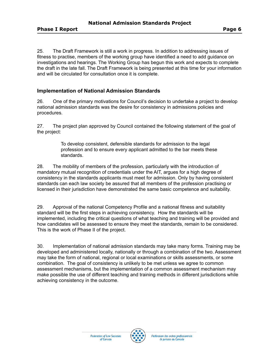25. The Draft Framework is still a work in progress. In addition to addressing issues of fitness to practise, members of the working group have identified a need to add guidance on investigations and hearings. The Working Group has begun this work and expects to complete the draft in the late fall. The Draft Framework is being presented at this time for your information and will be circulated for consultation once it is complete.

## **Implementation of National Admission Standards**

26. One of the primary motivations for Council's decision to undertake a project to develop national admission standards was the desire for consistency in admissions policies and procedures.

27. The project plan approved by Council contained the following statement of the goal of the project:

> To develop consistent, defensible standards for admission to the legal profession and to ensure every applicant admitted to the bar meets these standards.

28. The mobility of members of the profession, particularly with the introduction of mandatory mutual recognition of credentials under the AIT, argues for a high degree of consistency in the standards applicants must meet for admission. Only by having consistent standards can each law society be assured that all members of the profession practising or licensed in their jurisdiction have demonstrated the same basic competence and suitability.

29. Approval of the national Competency Profile and a national fitness and suitability standard will be the first steps in achieving consistency. How the standards will be implemented, including the critical questions of what teaching and training will be provided and how candidates will be assessed to ensure they meet the standards, remain to be considered. This is the work of Phase II of the project.

30. Implementation of national admission standards may take many forms. Training may be developed and administered locally, nationally or through a combination of the two. Assessment may take the form of national, regional or local examinations or skills assessments, or some combination. The goal of consistency is unlikely to be met unless we agree to common assessment mechanisms, but the implementation of a common assessment mechanism may make possible the use of different teaching and training methods in different jurisdictions while achieving consistency in the outcome.

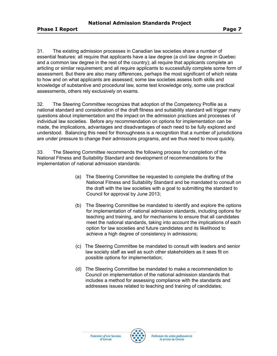31. The existing admission processes in Canadian law societies share a number of essential features: all require that applicants have a law degree (a civil law degree in Quebec and a common law degree in the rest of the country); all require that applicants complete an articling or similar requirement; and all require applicants to successfully complete some form of assessment. But there are also many differences, perhaps the most significant of which relate to how and on what applicants are assessed; some law societies assess both skills and knowledge of substantive and procedural law, some test knowledge only, some use practical assessments, others rely exclusively on exams.

32. The Steering Committee recognizes that adoption of the Competency Profile as a national standard and consideration of the draft fitness and suitability standard will trigger many questions about implementation and the impact on the admission practices and processes of individual law societies. Before any recommendation on options for implementation can be made, the implications, advantages and disadvantages of each need to be fully explored and understood. Balancing this need for thoroughness is a recognition that a number of jurisdictions are under pressure to change their admissions programs, and we thus need to move quickly.

33. The Steering Committee recommends the following process for completion of the National Fitness and Suitability Standard and development of recommendations for the implementation of national admission standards:

- (a) The Steering Committee be requested to complete the drafting of the National Fitness and Suitability Standard and be mandated to consult on the draft with the law societies with a goal to submitting the standard to Council for approval by June 2013;
- (b) The Steering Committee be mandated to identify and explore the options for implementation of national admission standards, including options for teaching and training, and for mechanisms to ensure that all candidates meet the national standards, taking into account the implications of each option for law societies and future candidates and its likelihood to achieve a high degree of consistency in admissions;
- (c) The Steering Committee be mandated to consult with leaders and senior law society staff as well as such other stakeholders as it sees fit on possible options for implementation;
- (d) The Steering Committee be mandated to make a recommendation to Council on implementation of the national admission standards that includes a method for assessing compliance with the standards and addresses issues related to teaching and training of candidates;



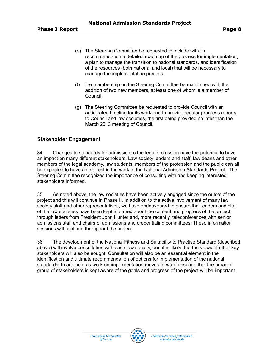- (e) The Steering Committee be requested to include with its recommendation a detailed roadmap of the process for implementation, a plan to manage the transition to national standards, and identification of the resources (both national and local) that will be necessary to manage the implementation process;
- (f) The membership on the Steering Committee be maintained with the addition of two new members, at least one of whom is a member of Council;
- (g) The Steering Committee be requested to provide Council with an anticipated timeline for its work and to provide regular progress reports to Council and law societies, the first being provided no later than the March 2013 meeting of Council.

## **Stakeholder Engagement**

34. Changes to standards for admission to the legal profession have the potential to have an impact on many different stakeholders. Law society leaders and staff, law deans and other members of the legal academy, law students, members of the profession and the public can all be expected to have an interest in the work of the National Admission Standards Project. The Steering Committee recognizes the importance of consulting with and keeping interested stakeholders informed.

35. As noted above, the law societies have been actively engaged since the outset of the project and this will continue in Phase II. In addition to the active involvement of many law society staff and other representatives, we have endeavoured to ensure that leaders and staff of the law societies have been kept informed about the content and progress of the project through letters from President John Hunter and, more recently, teleconferences with senior admissions staff and chairs of admissions and credentialing committees. These information sessions will continue throughout the project.

36. The development of the National Fitness and Suitability to Practise Standard (described above) will involve consultation with each law society, and it is likely that the views of other key stakeholders will also be sought. Consultation will also be an essential element in the identification and ultimate recommendation of options for implementation of the national standards. In addition, as work on implementation moves forward ensuring that the broader group of stakeholders is kept aware of the goals and progress of the project will be important.